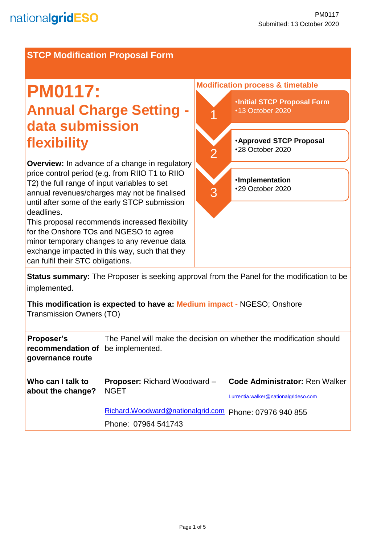## **STCP Modification Proposal Form**

# **PM0117: Annual Charge Setting data submission flexibility**

**Overview:** In advance of a change in regulatory price control period (e.g. from RIIO T1 to RIIO T2) the full range of input variables to set annual revenues/charges may not be finalised until after some of the early STCP submission deadlines.

This proposal recommends increased flexibility for the Onshore TOs and NGESO to agree minor temporary changes to any revenue data exchange impacted in this way, such that they can fulfil their STC obligations.



**Status summary:** The Proposer is seeking approval from the Panel for the modification to be implemented.

**This modification is expected to have a: Medium impact -** NGESO; Onshore Transmission Owners (TO)

| <b>Proposer's</b><br>recommendation of<br>governance route | The Panel will make the decision on whether the modification should<br>be implemented. |                                                                               |  |
|------------------------------------------------------------|----------------------------------------------------------------------------------------|-------------------------------------------------------------------------------|--|
| Who can I talk to<br>about the change?                     | <b>Proposer:</b> Richard Woodward -<br><b>NGET</b>                                     | <b>Code Administrator: Ren Walker</b><br>Lurrentia.walker@nationalgrideso.com |  |
|                                                            | Richard.Woodward@nationalgrid.com<br>Phone: 07964 541743                               | Phone: 07976 940 855                                                          |  |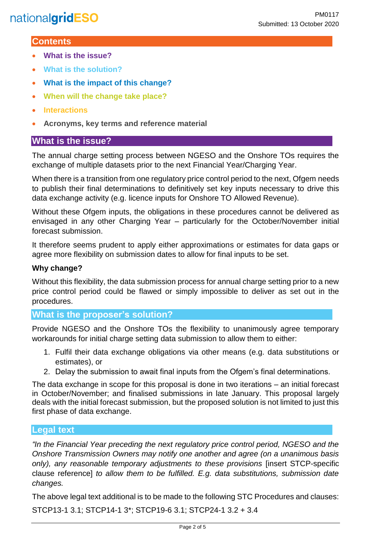## **Contents**

- **What is the issue?**
- **What is the solution?**
- **What is the impact of this change?**
- **When will the change take place?**
- **Interactions**
- **Acronyms, key terms and reference material**

## **What is the issue?**

The annual charge setting process between NGESO and the Onshore TOs requires the exchange of multiple datasets prior to the next Financial Year/Charging Year.

When there is a transition from one regulatory price control period to the next, Ofgem needs to publish their final determinations to definitively set key inputs necessary to drive this data exchange activity (e.g. licence inputs for Onshore TO Allowed Revenue).

Without these Ofgem inputs, the obligations in these procedures cannot be delivered as envisaged in any other Charging Year – particularly for the October/November initial forecast submission.

It therefore seems prudent to apply either approximations or estimates for data gaps or agree more flexibility on submission dates to allow for final inputs to be set.

### **Why change?**

Without this flexibility, the data submission process for annual charge setting prior to a new price control period could be flawed or simply impossible to deliver as set out in the procedures.

### **What is the proposer's solution?**

Provide NGESO and the Onshore TOs the flexibility to unanimously agree temporary workarounds for initial charge setting data submission to allow them to either:

- 1. Fulfil their data exchange obligations via other means (e.g. data substitutions or estimates), or
- 2. Delay the submission to await final inputs from the Ofgem's final determinations.

The data exchange in scope for this proposal is done in two iterations – an initial forecast in October/November; and finalised submissions in late January. This proposal largely deals with the initial forecast submission, but the proposed solution is not limited to just this first phase of data exchange.

### **Legal text**

*"In the Financial Year preceding the next regulatory price control period, NGESO and the Onshore Transmission Owners may notify one another and agree (on a unanimous basis only), any reasonable temporary adjustments to these provisions* [insert STCP-specific clause reference] *to allow them to be fulfilled. E.g. data substitutions, submission date changes.*

The above legal text additional is to be made to the following STC Procedures and clauses: STCP13-1 3.1; STCP14-1 3\*; STCP19-6 3.1; STCP24-1 3.2 + 3.4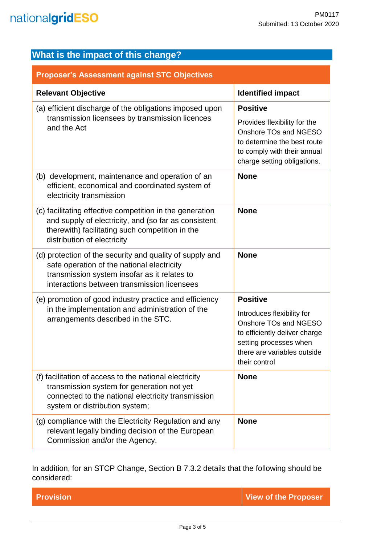| <b>Proposer's Assessment against STC Objectives</b>                                                                                                                                                   |                                                                                                                                                                |
|-------------------------------------------------------------------------------------------------------------------------------------------------------------------------------------------------------|----------------------------------------------------------------------------------------------------------------------------------------------------------------|
| <b>Relevant Objective</b>                                                                                                                                                                             | <b>Identified impact</b>                                                                                                                                       |
| (a) efficient discharge of the obligations imposed upon                                                                                                                                               | <b>Positive</b>                                                                                                                                                |
| transmission licensees by transmission licences<br>and the Act                                                                                                                                        | Provides flexibility for the<br>Onshore TOs and NGESO<br>to determine the best route<br>to comply with their annual<br>charge setting obligations.             |
| (b) development, maintenance and operation of an<br>efficient, economical and coordinated system of<br>electricity transmission                                                                       | <b>None</b>                                                                                                                                                    |
| (c) facilitating effective competition in the generation<br>and supply of electricity, and (so far as consistent<br>therewith) facilitating such competition in the<br>distribution of electricity    | <b>None</b>                                                                                                                                                    |
| (d) protection of the security and quality of supply and<br>safe operation of the national electricity<br>transmission system insofar as it relates to<br>interactions between transmission licensees | <b>None</b>                                                                                                                                                    |
| (e) promotion of good industry practice and efficiency                                                                                                                                                | <b>Positive</b>                                                                                                                                                |
| in the implementation and administration of the<br>arrangements described in the STC.                                                                                                                 | Introduces flexibility for<br>Onshore TOs and NGESO<br>to efficiently deliver charge<br>setting processes when<br>there are variables outside<br>their control |
| (f) facilitation of access to the national electricity<br>transmission system for generation not yet<br>connected to the national electricity transmission<br>system or distribution system;          | <b>None</b>                                                                                                                                                    |
| (g) compliance with the Electricity Regulation and any<br>relevant legally binding decision of the European<br>Commission and/or the Agency.                                                          | <b>None</b>                                                                                                                                                    |

In addition, for an STCP Change, Section B 7.3.2 details that the following should be considered:

**Provision Contract Contract Contract Contract Contract Contract Contract Contract Contract Contract Contract Contract Contract Contract Contract Contract Contract Contract Contract Contract Contract Contract Contract Cont**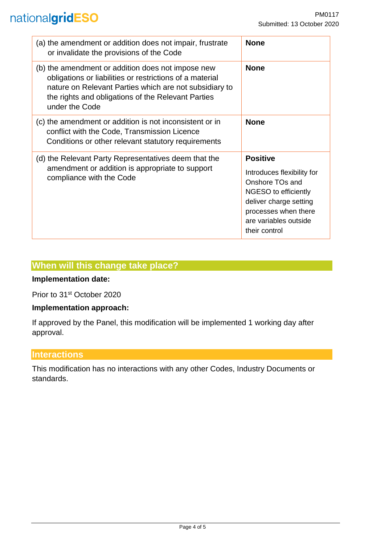## nationalgridESO

| (a) the amendment or addition does not impair, frustrate<br>or invalidate the provisions of the Code                                                                                                                                            | <b>None</b>                                                                                                                                                                          |
|-------------------------------------------------------------------------------------------------------------------------------------------------------------------------------------------------------------------------------------------------|--------------------------------------------------------------------------------------------------------------------------------------------------------------------------------------|
| (b) the amendment or addition does not impose new<br>obligations or liabilities or restrictions of a material<br>nature on Relevant Parties which are not subsidiary to<br>the rights and obligations of the Relevant Parties<br>under the Code | <b>None</b>                                                                                                                                                                          |
| (c) the amendment or addition is not inconsistent or in<br>conflict with the Code, Transmission Licence<br>Conditions or other relevant statutory requirements                                                                                  | <b>None</b>                                                                                                                                                                          |
| (d) the Relevant Party Representatives deem that the<br>amendment or addition is appropriate to support<br>compliance with the Code                                                                                                             | <b>Positive</b><br>Introduces flexibility for<br>Onshore TOs and<br>NGESO to efficiently<br>deliver charge setting<br>processes when there<br>are variables outside<br>their control |

## **When will this change take place?**

## **Implementation date:**

Prior to 31st October 2020

#### **Implementation approach:**

If approved by the Panel, this modification will be implemented 1 working day after approval.

### **Interactions**

This modification has no interactions with any other Codes, Industry Documents or standards.